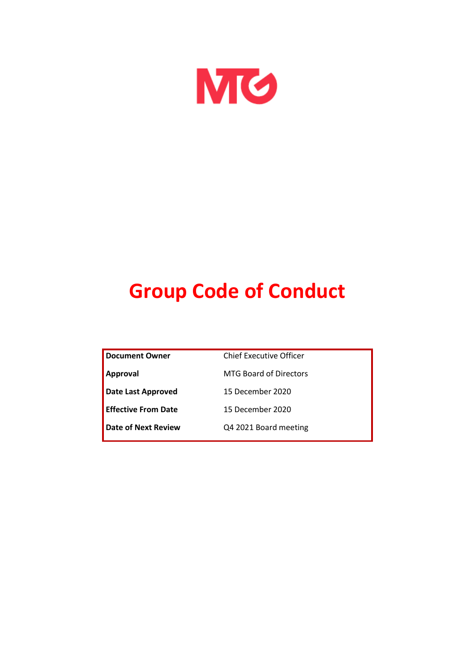

# **Group Code of Conduct**

| <b>Document Owner</b>      | Chief Executive Officer       |  |
|----------------------------|-------------------------------|--|
| <b>Approval</b>            | <b>MTG Board of Directors</b> |  |
| <b>Date Last Approved</b>  | 15 December 2020              |  |
| <b>Effective From Date</b> | 15 December 2020              |  |
| Date of Next Review        | Q4 2021 Board meeting         |  |
|                            |                               |  |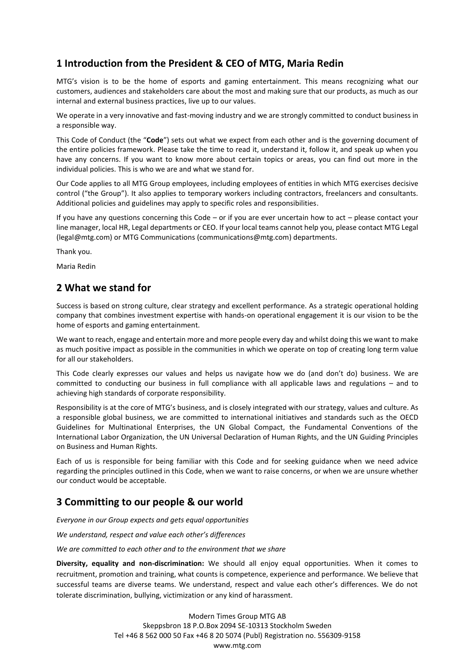### **1 Introduction from the President & CEO of MTG, Maria Redin**

MTG's vision is to be the home of esports and gaming entertainment. This means recognizing what our customers, audiences and stakeholders care about the most and making sure that our products, as much as our internal and external business practices, live up to our values.

We operate in a very innovative and fast-moving industry and we are strongly committed to conduct business in a responsible way.

This Code of Conduct (the "**Code**") sets out what we expect from each other and is the governing document of the entire policies framework. Please take the time to read it, understand it, follow it, and speak up when you have any concerns. If you want to know more about certain topics or areas, you can find out more in the individual policies. This is who we are and what we stand for.

Our Code applies to all MTG Group employees, including employees of entities in which MTG exercises decisive control ("the Group"). It also applies to temporary workers including contractors, freelancers and consultants. Additional policies and guidelines may apply to specific roles and responsibilities.

If you have any questions concerning this Code – or if you are ever uncertain how to act – please contact your line manager, local HR, Legal departments or CEO. If your local teams cannot help you, please contact MTG Legal (legal@mtg.com) or MTG Communications (communications@mtg.com) departments.

Thank you.

Maria Redin

#### **2 What we stand for**

Success is based on strong culture, clear strategy and excellent performance. As a strategic operational holding company that combines investment expertise with hands-on operational engagement it is our vision to be the home of esports and gaming entertainment.

We want to reach, engage and entertain more and more people every day and whilst doing this we want to make as much positive impact as possible in the communities in which we operate on top of creating long term value for all our stakeholders.

This Code clearly expresses our values and helps us navigate how we do (and don't do) business. We are committed to conducting our business in full compliance with all applicable laws and regulations – and to achieving high standards of corporate responsibility.

Responsibility is at the core of MTG's business, and is closely integrated with our strategy, values and culture. As a responsible global business, we are committed to international initiatives and standards such as the OECD Guidelines for Multinational Enterprises, the UN Global Compact, the Fundamental Conventions of the International Labor Organization, the UN Universal Declaration of Human Rights, and the UN Guiding Principles on Business and Human Rights.

Each of us is responsible for being familiar with this Code and for seeking guidance when we need advice regarding the principles outlined in this Code, when we want to raise concerns, or when we are unsure whether our conduct would be acceptable.

#### **3 Committing to our people & our world**

*Everyone in our Group expects and gets equal opportunities*

*We understand, respect and value each other's differences*

*We are committed to each other and to the environment that we share*

**Diversity, equality and non-discrimination:** We should all enjoy equal opportunities. When it comes to recruitment, promotion and training, what counts is competence, experience and performance. We believe that successful teams are diverse teams. We understand, respect and value each other's differences. We do not tolerate discrimination, bullying, victimization or any kind of harassment.

> Modern Times Group MTG AB Skeppsbron 18 P.O.Box 2094 SE-10313 Stockholm Sweden Tel +46 8 562 000 50 Fax +46 8 20 5074 (Publ) Registration no. 556309-9158 www.mtg.com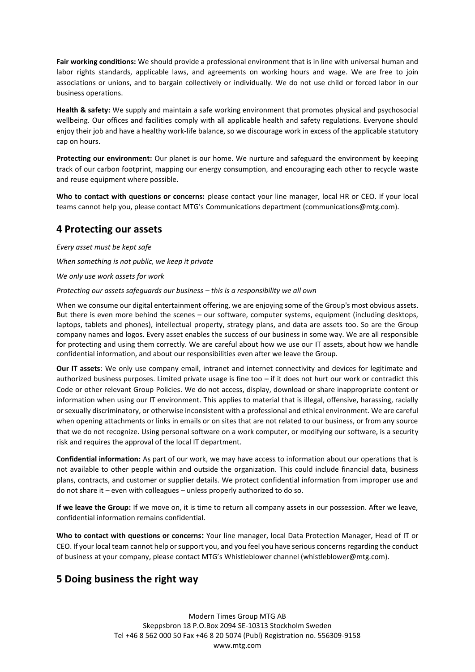**Fair working conditions:** We should provide a professional environment that is in line with universal human and labor rights standards, applicable laws, and agreements on working hours and wage. We are free to join associations or unions, and to bargain collectively or individually. We do not use child or forced labor in our business operations.

**Health & safety:** We supply and maintain a safe working environment that promotes physical and psychosocial wellbeing. Our offices and facilities comply with all applicable health and safety regulations. Everyone should enjoy their job and have a healthy work-life balance, so we discourage work in excess of the applicable statutory cap on hours.

**Protecting our environment:** Our planet is our home. We nurture and safeguard the environment by keeping track of our carbon footprint, mapping our energy consumption, and encouraging each other to recycle waste and reuse equipment where possible.

**Who to contact with questions or concerns:** please contact your line manager, local HR or CEO. If your local teams cannot help you, please contact MTG's Communications department (communications@mtg.com).

#### **4 Protecting our assets**

*Every asset must be kept safe When something is not public, we keep it private We only use work assets for work Protecting our assets safeguards our business – this is a responsibility we all own*

When we consume our digital entertainment offering, we are enjoying some of the Group's most obvious assets. But there is even more behind the scenes – our software, computer systems, equipment (including desktops, laptops, tablets and phones), intellectual property, strategy plans, and data are assets too. So are the Group company names and logos. Every asset enables the success of our business in some way. We are all responsible for protecting and using them correctly. We are careful about how we use our IT assets, about how we handle confidential information, and about our responsibilities even after we leave the Group.

**Our IT assets**: We only use company email, intranet and internet connectivity and devices for legitimate and authorized business purposes. Limited private usage is fine too  $-$  if it does not hurt our work or contradict this Code or other relevant Group Policies. We do not access, display, download or share inappropriate content or information when using our IT environment. This applies to material that is illegal, offensive, harassing, racially or sexually discriminatory, or otherwise inconsistent with a professional and ethical environment. We are careful when opening attachments or links in emails or on sites that are not related to our business, or from any source that we do not recognize. Using personal software on a work computer, or modifying our software, is a security risk and requires the approval of the local IT department.

**Confidential information:** As part of our work, we may have access to information about our operations that is not available to other people within and outside the organization. This could include financial data, business plans, contracts, and customer or supplier details. We protect confidential information from improper use and do not share it – even with colleagues – unless properly authorized to do so.

**If we leave the Group:** If we move on, it is time to return all company assets in our possession. After we leave, confidential information remains confidential.

**Who to contact with questions or concerns:** Your line manager, local Data Protection Manager, Head of IT or CEO. If your local team cannot help or support you, and you feel you have serious concernsregarding the conduct of business at your company, please contact MTG's Whistleblower channel (whistleblower@mtg.com).

#### **5 Doing business the right way**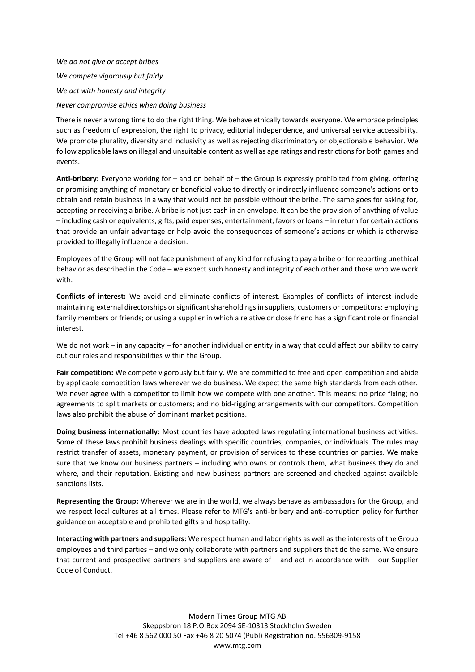*We do not give or accept bribes We compete vigorously but fairly We act with honesty and integrity Never compromise ethics when doing business*

There is never a wrong time to do the right thing. We behave ethically towards everyone. We embrace principles such as freedom of expression, the right to privacy, editorial independence, and universal service accessibility. We promote plurality, diversity and inclusivity as well as rejecting discriminatory or objectionable behavior. We follow applicable laws on illegal and unsuitable content as well as age ratings and restrictions for both games and events.

**Anti-bribery:** Everyone working for – and on behalf of – the Group is expressly prohibited from giving, offering or promising anything of monetary or beneficial value to directly or indirectly influence someone's actions or to obtain and retain business in a way that would not be possible without the bribe. The same goes for asking for, accepting or receiving a bribe. A bribe is not just cash in an envelope. It can be the provision of anything of value – including cash or equivalents, gifts, paid expenses, entertainment, favors or loans – in return for certain actions that provide an unfair advantage or help avoid the consequences of someone's actions or which is otherwise provided to illegally influence a decision.

Employees of the Group will not face punishment of any kind for refusing to pay a bribe or for reporting unethical behavior as described in the Code – we expect such honesty and integrity of each other and those who we work with.

**Conflicts of interest:** We avoid and eliminate conflicts of interest. Examples of conflicts of interest include maintaining external directorships or significant shareholdings in suppliers, customers or competitors; employing family members or friends; or using a supplier in which a relative or close friend has a significant role or financial interest.

We do not work – in any capacity – for another individual or entity in a way that could affect our ability to carry out our roles and responsibilities within the Group.

**Fair competition:** We compete vigorously but fairly. We are committed to free and open competition and abide by applicable competition laws wherever we do business. We expect the same high standards from each other. We never agree with a competitor to limit how we compete with one another. This means: no price fixing; no agreements to split markets or customers; and no bid-rigging arrangements with our competitors. Competition laws also prohibit the abuse of dominant market positions.

**Doing business internationally:** Most countries have adopted laws regulating international business activities. Some of these laws prohibit business dealings with specific countries, companies, or individuals. The rules may restrict transfer of assets, monetary payment, or provision of services to these countries or parties. We make sure that we know our business partners – including who owns or controls them, what business they do and where, and their reputation. Existing and new business partners are screened and checked against available sanctions lists.

**Representing the Group:** Wherever we are in the world, we always behave as ambassadors for the Group, and we respect local cultures at all times. Please refer to MTG's anti-bribery and anti-corruption policy for further guidance on acceptable and prohibited gifts and hospitality.

**Interacting with partners and suppliers:** We respect human and labor rights as well as the interests of the Group employees and third parties – and we only collaborate with partners and suppliers that do the same. We ensure that current and prospective partners and suppliers are aware of – and act in accordance with – our Supplier Code of Conduct.

> Modern Times Group MTG AB Skeppsbron 18 P.O.Box 2094 SE-10313 Stockholm Sweden Tel +46 8 562 000 50 Fax +46 8 20 5074 (Publ) Registration no. 556309-9158 www.mtg.com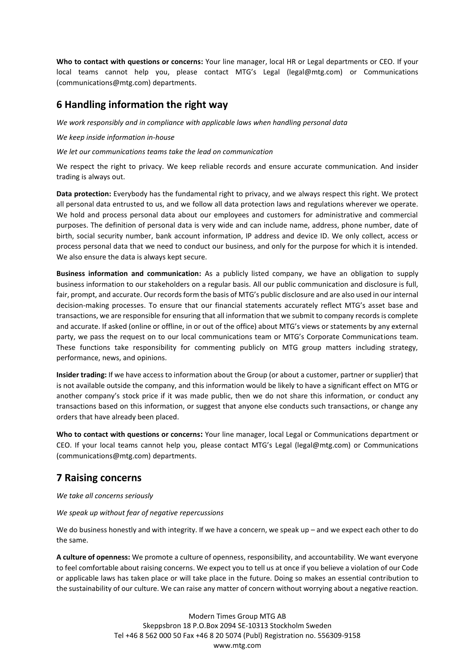**Who to contact with questions or concerns:** Your line manager, local HR or Legal departments or CEO. If your local teams cannot help you, please contact MTG's Legal (legal@mtg.com) or Communications (communications@mtg.com) departments.

#### **6 Handling information the right way**

*We work responsibly and in compliance with applicable laws when handling personal data*

*We keep inside information in-house*

*We let our communications teams take the lead on communication*

We respect the right to privacy. We keep reliable records and ensure accurate communication. And insider trading is always out.

**Data protection:** Everybody has the fundamental right to privacy, and we always respect this right. We protect all personal data entrusted to us, and we follow all data protection laws and regulations wherever we operate. We hold and process personal data about our employees and customers for administrative and commercial purposes. The definition of personal data is very wide and can include name, address, phone number, date of birth, social security number, bank account information, IP address and device ID. We only collect, access or process personal data that we need to conduct our business, and only for the purpose for which it is intended. We also ensure the data is always kept secure.

**Business information and communication:** As a publicly listed company, we have an obligation to supply business information to our stakeholders on a regular basis. All our public communication and disclosure is full, fair, prompt, and accurate. Our records form the basis of MTG's public disclosure and are also used in our internal decision-making processes. To ensure that our financial statements accurately reflect MTG's asset base and transactions, we are responsible for ensuring that all information that we submit to company records is complete and accurate. If asked (online or offline, in or out of the office) about MTG's views or statements by any external party, we pass the request on to our local communications team or MTG's Corporate Communications team. These functions take responsibility for commenting publicly on MTG group matters including strategy, performance, news, and opinions.

**Insider trading:** If we have access to information about the Group (or about a customer, partner or supplier) that is not available outside the company, and this information would be likely to have a significant effect on MTG or another company's stock price if it was made public, then we do not share this information, or conduct any transactions based on this information, or suggest that anyone else conducts such transactions, or change any orders that have already been placed.

**Who to contact with questions or concerns:** Your line manager, local Legal or Communications department or CEO. If your local teams cannot help you, please contact MTG's Legal (legal@mtg.com) or Communications (communications@mtg.com) departments.

#### **7 Raising concerns**

*We take all concerns seriously*

#### *We speak up without fear of negative repercussions*

We do business honestly and with integrity. If we have a concern, we speak up – and we expect each other to do the same.

**A culture of openness:** We promote a culture of openness, responsibility, and accountability. We want everyone to feel comfortable about raising concerns. We expect you to tell us at once if you believe a violation of our Code or applicable laws has taken place or will take place in the future. Doing so makes an essential contribution to the sustainability of our culture. We can raise any matter of concern without worrying about a negative reaction.

> Modern Times Group MTG AB Skeppsbron 18 P.O.Box 2094 SE-10313 Stockholm Sweden Tel +46 8 562 000 50 Fax +46 8 20 5074 (Publ) Registration no. 556309-9158 www.mtg.com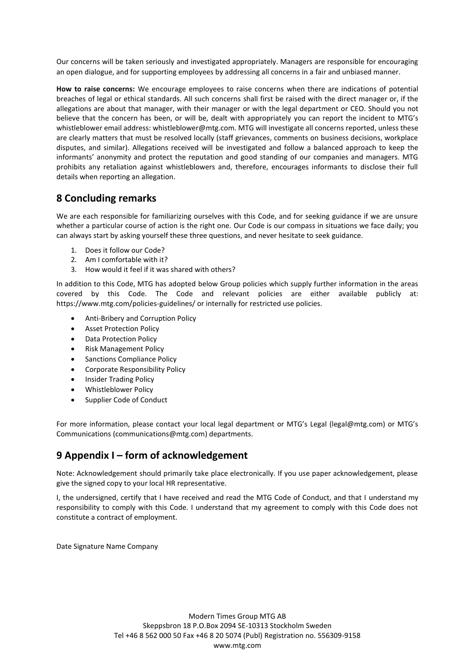Our concerns will be taken seriously and investigated appropriately. Managers are responsible for encouraging an open dialogue, and for supporting employees by addressing all concerns in a fair and unbiased manner.

**How to raise concerns:** We encourage employees to raise concerns when there are indications of potential breaches of legal or ethical standards. All such concerns shall first be raised with the direct manager or, if the allegations are about that manager, with their manager or with the legal department or CEO. Should you not believe that the concern has been, or will be, dealt with appropriately you can report the incident to MTG's whistleblower email address: whistleblower@mtg.com. MTG will investigate all concerns reported, unless these are clearly matters that must be resolved locally (staff grievances, comments on business decisions, workplace disputes, and similar). Allegations received will be investigated and follow a balanced approach to keep the informants' anonymity and protect the reputation and good standing of our companies and managers. MTG prohibits any retaliation against whistleblowers and, therefore, encourages informants to disclose their full details when reporting an allegation.

#### **8 Concluding remarks**

We are each responsible for familiarizing ourselves with this Code, and for seeking guidance if we are unsure whether a particular course of action is the right one. Our Code is our compass in situations we face daily; you can always start by asking yourself these three questions, and never hesitate to seek guidance.

- 1. Does it follow our Code?
- 2. Am I comfortable with it?
- 3. How would it feel if it was shared with others?

In addition to this Code, MTG has adopted below Group policies which supply further information in the areas covered by this Code. The Code and relevant policies are either available publicly at: https://www.mtg.com/policies-guidelines/ or internally for restricted use policies.

- Anti-Bribery and Corruption Policy
- Asset Protection Policy
- Data Protection Policy
- Risk Management Policy
- Sanctions Compliance Policy
- Corporate Responsibility Policy
- Insider Trading Policy
- Whistleblower Policy
- Supplier Code of Conduct

For more information, please contact your local legal department or MTG's Legal (legal@mtg.com) or MTG's Communications (communications@mtg.com) departments.

#### **9 Appendix I – form of acknowledgement**

Note: Acknowledgement should primarily take place electronically. If you use paper acknowledgement, please give the signed copy to your local HR representative.

I, the undersigned, certify that I have received and read the MTG Code of Conduct, and that I understand my responsibility to comply with this Code. I understand that my agreement to comply with this Code does not constitute a contract of employment.

Date Signature Name Company